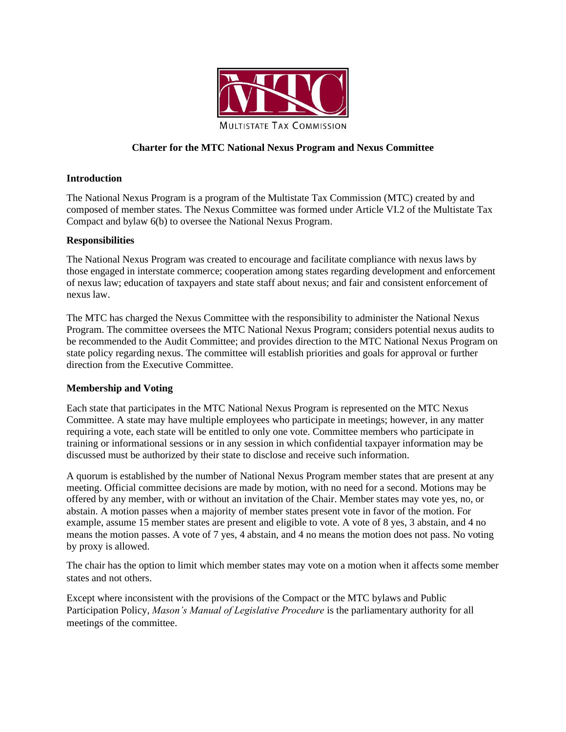

# **Charter for the MTC National Nexus Program and Nexus Committee**

### **Introduction**

The National Nexus Program is a program of the Multistate Tax Commission (MTC) created by and composed of member states. The Nexus Committee was formed under Article VI.2 of the Multistate Tax Compact and bylaw 6(b) to oversee the National Nexus Program.

#### **Responsibilities**

The National Nexus Program was created to encourage and facilitate compliance with nexus laws by those engaged in interstate commerce; cooperation among states regarding development and enforcement of nexus law; education of taxpayers and state staff about nexus; and fair and consistent enforcement of nexus law.

The MTC has charged the Nexus Committee with the responsibility to administer the National Nexus Program. The committee oversees the MTC National Nexus Program; considers potential nexus audits to be recommended to the Audit Committee; and provides direction to the MTC National Nexus Program on state policy regarding nexus. The committee will establish priorities and goals for approval or further direction from the Executive Committee.

### **Membership and Voting**

Each state that participates in the MTC National Nexus Program is represented on the MTC Nexus Committee. A state may have multiple employees who participate in meetings; however, in any matter requiring a vote, each state will be entitled to only one vote. Committee members who participate in training or informational sessions or in any session in which confidential taxpayer information may be discussed must be authorized by their state to disclose and receive such information.

A quorum is established by the number of National Nexus Program member states that are present at any meeting. Official committee decisions are made by motion, with no need for a second. Motions may be offered by any member, with or without an invitation of the Chair. Member states may vote yes, no, or abstain. A motion passes when a majority of member states present vote in favor of the motion. For example, assume 15 member states are present and eligible to vote. A vote of 8 yes, 3 abstain, and 4 no means the motion passes. A vote of 7 yes, 4 abstain, and 4 no means the motion does not pass. No voting by proxy is allowed.

The chair has the option to limit which member states may vote on a motion when it affects some member states and not others.

Except where inconsistent with the provisions of the Compact or the MTC bylaws and Public Participation Policy, *Mason's Manual of Legislative Procedure* is the parliamentary authority for all meetings of the committee.